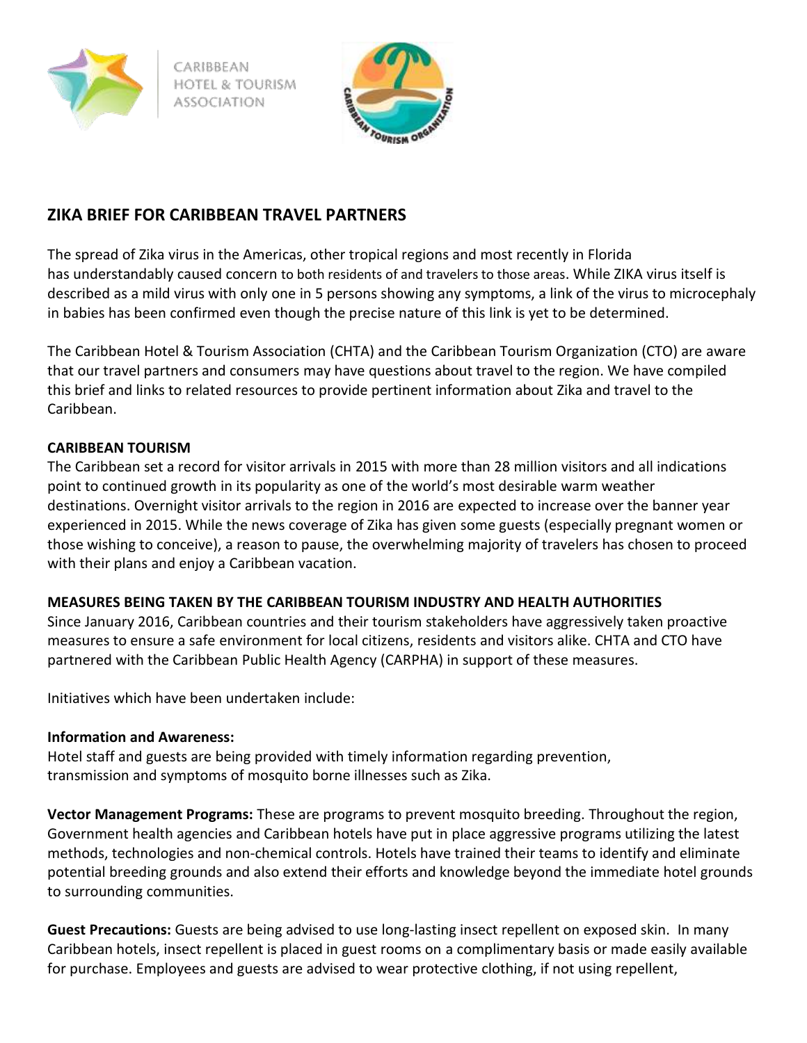

CARIBBEAN HOTEL & TOURISM



# **ZIKA BRIEF FOR CARIBBEAN TRAVEL PARTNERS**

The spread of Zika virus in the Americas, other tropical regions and most recently in Florida has understandably caused concern to both residents of and travelers to those areas. While ZIKA virus itself is described as a mild virus with only one in 5 persons showing any symptoms, a link of the virus to microcephaly in babies has been confirmed even though the precise nature of this link is yet to be determined.

The Caribbean Hotel & Tourism Association (CHTA) and the Caribbean Tourism Organization (CTO) are aware that our travel partners and consumers may have questions about travel to the region. We have compiled this brief and links to related resources to provide pertinent information about Zika and travel to the Caribbean.

# **CARIBBEAN TOURISM**

The Caribbean set a record for visitor arrivals in 2015 with more than 28 million visitors and all indications point to continued growth in its popularity as one of the world's most desirable warm weather destinations. Overnight visitor arrivals to the region in 2016 are expected to increase over the banner year experienced in 2015. While the news coverage of Zika has given some guests (especially pregnant women or those wishing to conceive), a reason to pause, the overwhelming majority of travelers has chosen to proceed with their plans and enjoy a Caribbean vacation.

### **MEASURES BEING TAKEN BY THE CARIBBEAN TOURISM INDUSTRY AND HEALTH AUTHORITIES**

Since January 2016, Caribbean countries and their tourism stakeholders have aggressively taken proactive measures to ensure a safe environment for local citizens, residents and visitors alike. CHTA and CTO have partnered with the Caribbean Public Health Agency (CARPHA) in support of these measures.

Initiatives which have been undertaken include:

### **Information and Awareness:**

Hotel staff and guests are being provided with timely information regarding prevention, transmission and symptoms of mosquito borne illnesses such as Zika.

**Vector Management Programs:** These are programs to prevent mosquito breeding. Throughout the region, Government health agencies and Caribbean hotels have put in place aggressive programs utilizing the latest methods, technologies and non-chemical controls. Hotels have trained their teams to identify and eliminate potential breeding grounds and also extend their efforts and knowledge beyond the immediate hotel grounds to surrounding communities.

**Guest Precautions:** Guests are being advised to use long-lasting insect repellent on exposed skin. In many Caribbean hotels, insect repellent is placed in guest rooms on a complimentary basis or made easily available for purchase. Employees and guests are advised to wear protective clothing, if not using repellent,